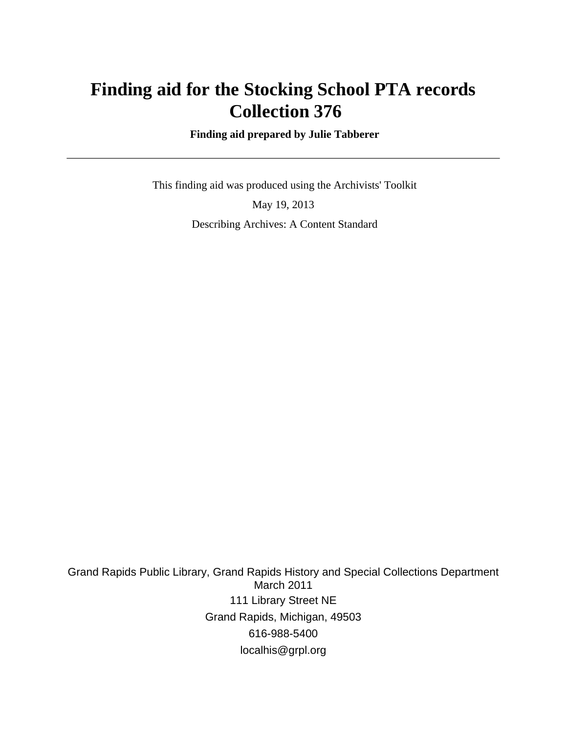# **Finding aid for the Stocking School PTA records Collection 376**

 **Finding aid prepared by Julie Tabberer**

 This finding aid was produced using the Archivists' Toolkit May 19, 2013 Describing Archives: A Content Standard

Grand Rapids Public Library, Grand Rapids History and Special Collections Department March 2011 111 Library Street NE Grand Rapids, Michigan, 49503 616-988-5400 localhis@grpl.org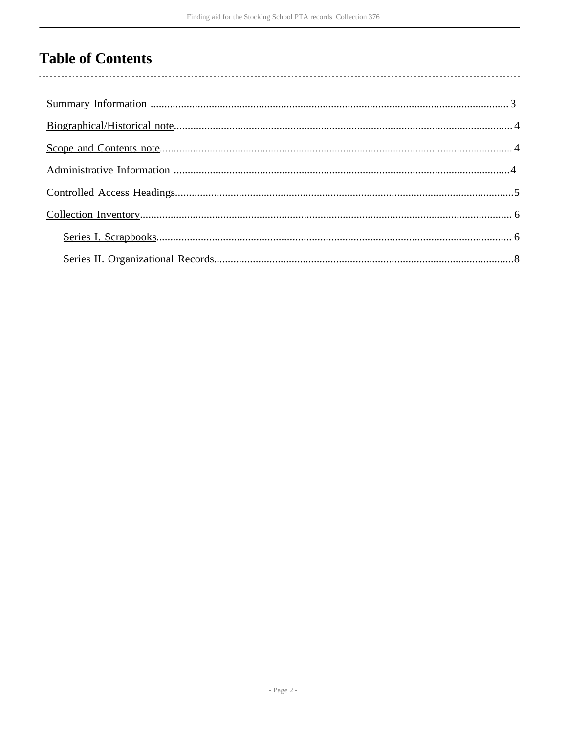# **Table of Contents**

 $\overline{\phantom{a}}$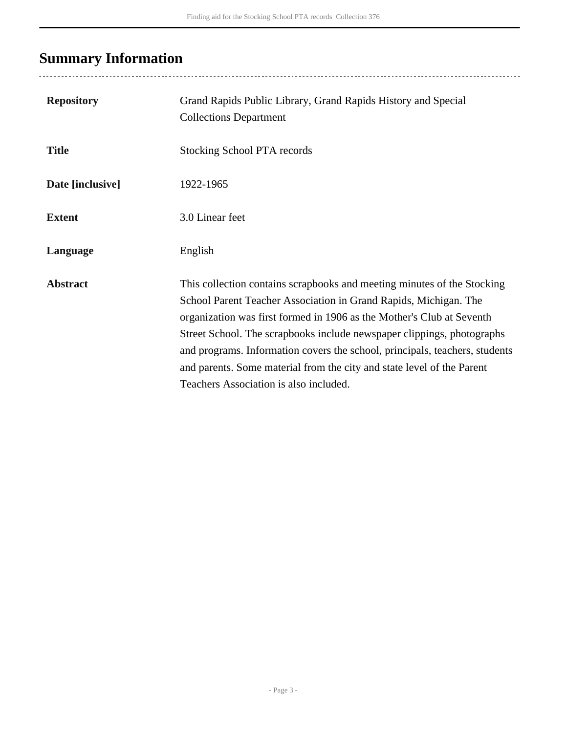# <span id="page-2-0"></span>**Summary Information**

...................................

| <b>Repository</b> | Grand Rapids Public Library, Grand Rapids History and Special<br><b>Collections Department</b>                                                                                                                                                                                                                                                                                                                                                                                                    |
|-------------------|---------------------------------------------------------------------------------------------------------------------------------------------------------------------------------------------------------------------------------------------------------------------------------------------------------------------------------------------------------------------------------------------------------------------------------------------------------------------------------------------------|
| <b>Title</b>      | Stocking School PTA records                                                                                                                                                                                                                                                                                                                                                                                                                                                                       |
| Date [inclusive]  | 1922-1965                                                                                                                                                                                                                                                                                                                                                                                                                                                                                         |
| <b>Extent</b>     | 3.0 Linear feet                                                                                                                                                                                                                                                                                                                                                                                                                                                                                   |
| Language          | English                                                                                                                                                                                                                                                                                                                                                                                                                                                                                           |
| <b>Abstract</b>   | This collection contains scrapbooks and meeting minutes of the Stocking<br>School Parent Teacher Association in Grand Rapids, Michigan. The<br>organization was first formed in 1906 as the Mother's Club at Seventh<br>Street School. The scrapbooks include newspaper clippings, photographs<br>and programs. Information covers the school, principals, teachers, students<br>and parents. Some material from the city and state level of the Parent<br>Teachers Association is also included. |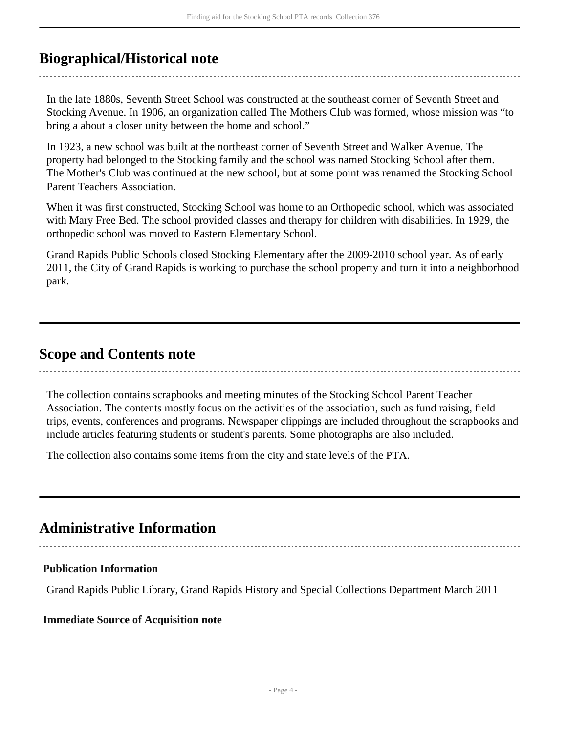# <span id="page-3-0"></span>**Biographical/Historical note**

In the late 1880s, Seventh Street School was constructed at the southeast corner of Seventh Street and Stocking Avenue. In 1906, an organization called The Mothers Club was formed, whose mission was "to bring a about a closer unity between the home and school."

In 1923, a new school was built at the northeast corner of Seventh Street and Walker Avenue. The property had belonged to the Stocking family and the school was named Stocking School after them. The Mother's Club was continued at the new school, but at some point was renamed the Stocking School Parent Teachers Association.

When it was first constructed, Stocking School was home to an Orthopedic school, which was associated with Mary Free Bed. The school provided classes and therapy for children with disabilities. In 1929, the orthopedic school was moved to Eastern Elementary School.

Grand Rapids Public Schools closed Stocking Elementary after the 2009-2010 school year. As of early 2011, the City of Grand Rapids is working to purchase the school property and turn it into a neighborhood park.

## <span id="page-3-1"></span>**Scope and Contents note**

The collection contains scrapbooks and meeting minutes of the Stocking School Parent Teacher Association. The contents mostly focus on the activities of the association, such as fund raising, field trips, events, conferences and programs. Newspaper clippings are included throughout the scrapbooks and include articles featuring students or student's parents. Some photographs are also included.

The collection also contains some items from the city and state levels of the PTA.

## <span id="page-3-2"></span>**Administrative Information**

#### **Publication Information**

Grand Rapids Public Library, Grand Rapids History and Special Collections Department March 2011

#### **Immediate Source of Acquisition note**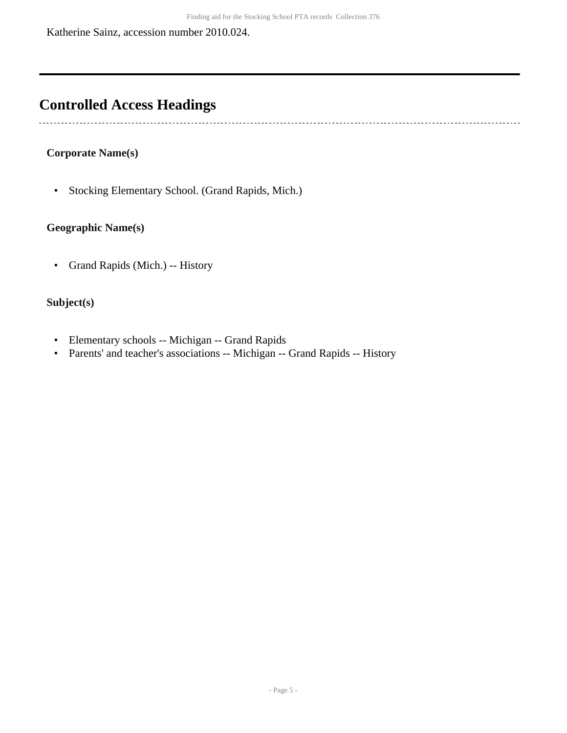Katherine Sainz, accession number 2010.024.

# <span id="page-4-0"></span>**Controlled Access Headings**

### **Corporate Name(s)**

 $\mathbf{r}$ 

• Stocking Elementary School. (Grand Rapids, Mich.)

### **Geographic Name(s)**

• Grand Rapids (Mich.) -- History

## **Subject(s)**

- Elementary schools -- Michigan -- Grand Rapids
- Parents' and teacher's associations -- Michigan -- Grand Rapids -- History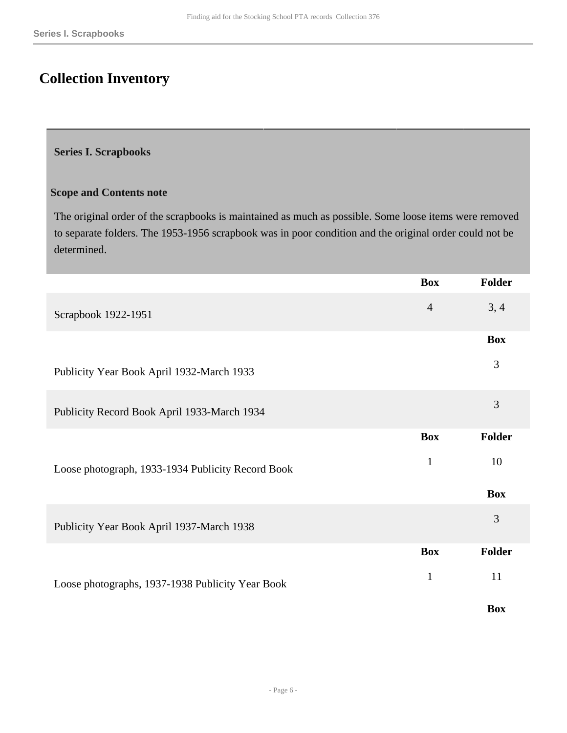# <span id="page-5-0"></span>**Collection Inventory**

<span id="page-5-1"></span>**Series I. Scrapbooks** 

#### **Scope and Contents note**

The original order of the scrapbooks is maintained as much as possible. Some loose items were removed to separate folders. The 1953-1956 scrapbook was in poor condition and the original order could not be determined.

|                                                   | <b>Box</b>     | Folder     |
|---------------------------------------------------|----------------|------------|
| Scrapbook 1922-1951                               | $\overline{4}$ | 3, 4       |
|                                                   |                | <b>Box</b> |
| Publicity Year Book April 1932-March 1933         |                | 3          |
| Publicity Record Book April 1933-March 1934       |                | 3          |
|                                                   | <b>Box</b>     | Folder     |
| Loose photograph, 1933-1934 Publicity Record Book | $\mathbf{1}$   | 10         |
|                                                   |                | <b>Box</b> |
| Publicity Year Book April 1937-March 1938         |                | 3          |
|                                                   | <b>Box</b>     | Folder     |
| Loose photographs, 1937-1938 Publicity Year Book  | $\mathbf{1}$   | 11         |
|                                                   |                | <b>Box</b> |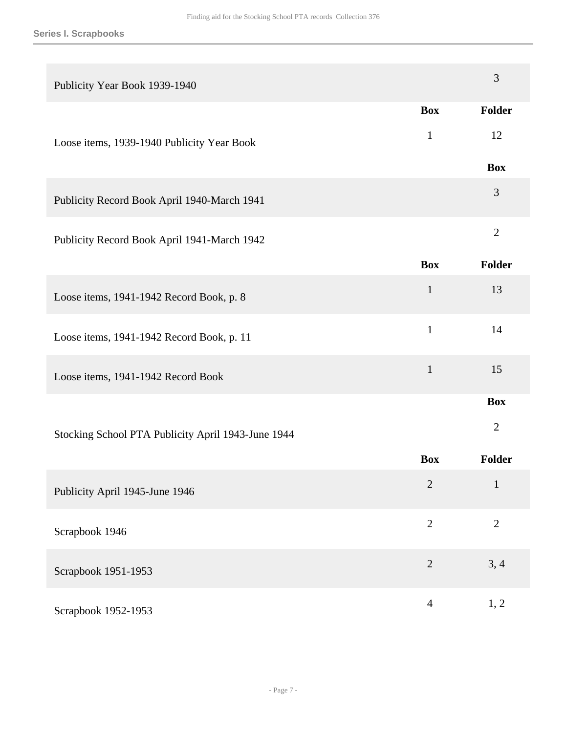| Publicity Year Book 1939-1940                      |                | 3              |
|----------------------------------------------------|----------------|----------------|
|                                                    | <b>Box</b>     | <b>Folder</b>  |
| Loose items, 1939-1940 Publicity Year Book         | $\mathbf{1}$   | 12             |
|                                                    |                | <b>Box</b>     |
| Publicity Record Book April 1940-March 1941        |                | 3              |
| Publicity Record Book April 1941-March 1942        |                | $\overline{2}$ |
|                                                    | <b>Box</b>     | Folder         |
| Loose items, 1941-1942 Record Book, p. 8           | $\mathbf{1}$   | 13             |
| Loose items, 1941-1942 Record Book, p. 11          | $\mathbf{1}$   | 14             |
| Loose items, 1941-1942 Record Book                 | $\mathbf{1}$   | 15             |
|                                                    |                | <b>Box</b>     |
| Stocking School PTA Publicity April 1943-June 1944 |                | $\overline{2}$ |
|                                                    | <b>Box</b>     | <b>Folder</b>  |
| Publicity April 1945-June 1946                     | $\sqrt{2}$     | $\mathbf{1}$   |
| Scrapbook 1946                                     | $\overline{2}$ | $\overline{2}$ |
| Scrapbook 1951-1953                                | $\overline{2}$ | 3, 4           |
| Scrapbook 1952-1953                                | $\overline{4}$ | 1, 2           |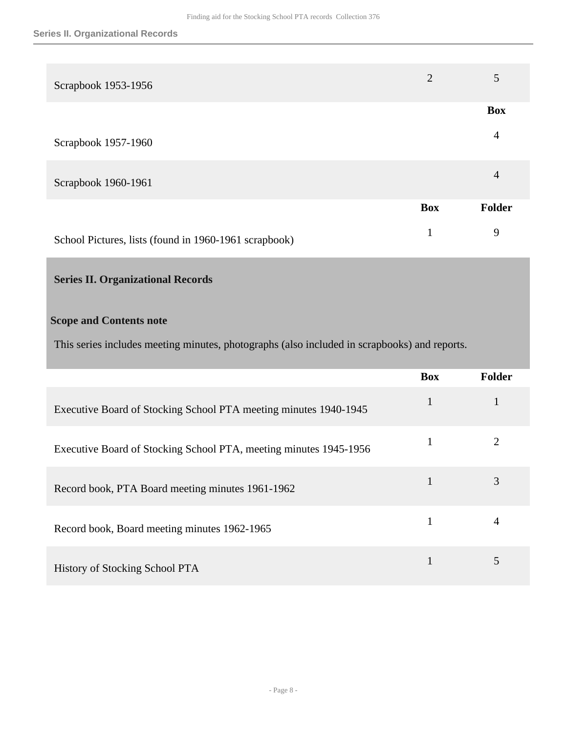| Scrapbook 1953-1956                                   | $\overline{2}$ | 5          |
|-------------------------------------------------------|----------------|------------|
|                                                       |                | <b>Box</b> |
| Scrapbook 1957-1960                                   |                | 4          |
| Scrapbook 1960-1961                                   |                | 4          |
|                                                       | <b>Box</b>     | Folder     |
| School Pictures, lists (found in 1960-1961 scrapbook) |                | 9          |

#### <span id="page-7-0"></span>**Series II. Organizational Records**

#### **Scope and Contents note**

This series includes meeting minutes, photographs (also included in scrapbooks) and reports.

|                                                                   | <b>Box</b> | <b>Folder</b> |
|-------------------------------------------------------------------|------------|---------------|
| Executive Board of Stocking School PTA meeting minutes 1940-1945  | 1          |               |
| Executive Board of Stocking School PTA, meeting minutes 1945-1956 |            |               |
| Record book, PTA Board meeting minutes 1961-1962                  |            | 3             |
| Record book, Board meeting minutes 1962-1965                      | 1          |               |
| History of Stocking School PTA                                    |            | 5             |